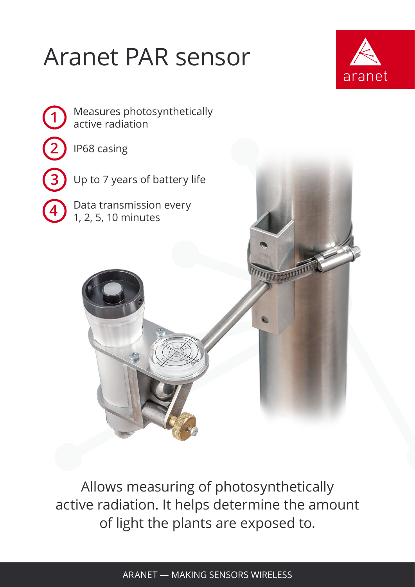## Aranet PAR sensor





Allows measuring of photosynthetically active radiation. It helps determine the amount of light the plants are exposed to.